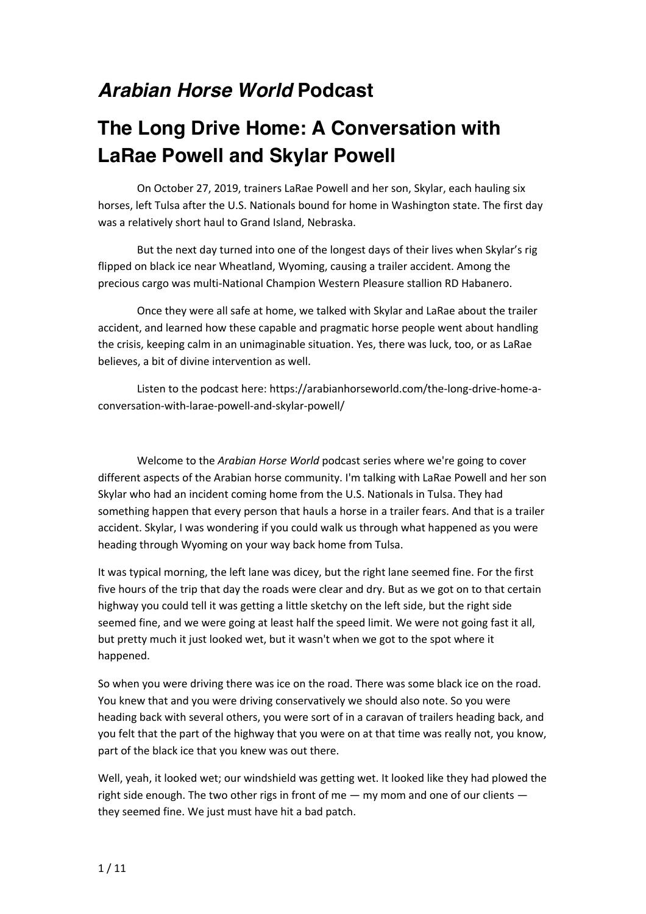## *Arabian Horse World* **Podcast**

## **The Long Drive Home: A Conversation with LaRae Powell and Skylar Powell**

On October 27, 2019, trainers LaRae Powell and her son, Skylar, each hauling six horses, left Tulsa after the U.S. Nationals bound for home in Washington state. The first day was a relatively short haul to Grand Island, Nebraska.

But the next day turned into one of the longest days of their lives when Skylar's rig flipped on black ice near Wheatland, Wyoming, causing a trailer accident. Among the precious cargo was multi-National Champion Western Pleasure stallion RD Habanero.

Once they were all safe at home, we talked with Skylar and LaRae about the trailer accident, and learned how these capable and pragmatic horse people went about handling the crisis, keeping calm in an unimaginable situation. Yes, there was luck, too, or as LaRae believes, a bit of divine intervention as well.

Listen to the podcast here: https://arabianhorseworld.com/the-long-drive-home-aconversation-with-larae-powell-and-skylar-powell/

Welcome to the *Arabian Horse World* podcast series where we're going to cover different aspects of the Arabian horse community. I'm talking with LaRae Powell and her son Skylar who had an incident coming home from the U.S. Nationals in Tulsa. They had something happen that every person that hauls a horse in a trailer fears. And that is a trailer accident. Skylar, I was wondering if you could walk us through what happened as you were heading through Wyoming on your way back home from Tulsa.

It was typical morning, the left lane was dicey, but the right lane seemed fine. For the first five hours of the trip that day the roads were clear and dry. But as we got on to that certain highway you could tell it was getting a little sketchy on the left side, but the right side seemed fine, and we were going at least half the speed limit. We were not going fast it all, but pretty much it just looked wet, but it wasn't when we got to the spot where it happened.

So when you were driving there was ice on the road. There was some black ice on the road. You knew that and you were driving conservatively we should also note. So you were heading back with several others, you were sort of in a caravan of trailers heading back, and you felt that the part of the highway that you were on at that time was really not, you know, part of the black ice that you knew was out there.

Well, yeah, it looked wet; our windshield was getting wet. It looked like they had plowed the right side enough. The two other rigs in front of me  $-$  my mom and one of our clients  $$ they seemed fine. We just must have hit a bad patch.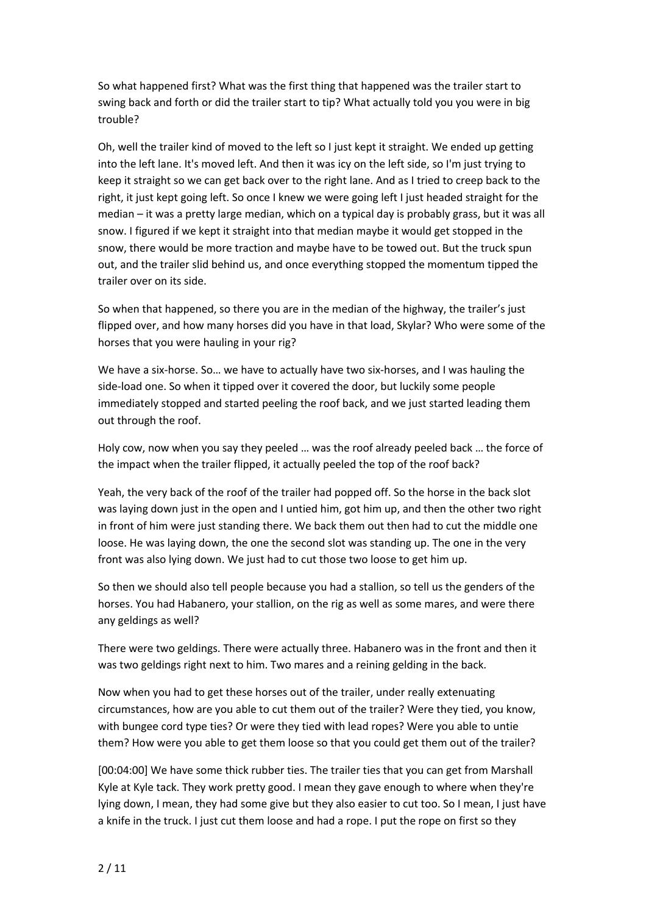So what happened first? What was the first thing that happened was the trailer start to swing back and forth or did the trailer start to tip? What actually told you you were in big trouble?

Oh, well the trailer kind of moved to the left so I just kept it straight. We ended up getting into the left lane. It's moved left. And then it was icy on the left side, so I'm just trying to keep it straight so we can get back over to the right lane. And as I tried to creep back to the right, it just kept going left. So once I knew we were going left I just headed straight for the median – it was a pretty large median, which on a typical day is probably grass, but it was all snow. I figured if we kept it straight into that median maybe it would get stopped in the snow, there would be more traction and maybe have to be towed out. But the truck spun out, and the trailer slid behind us, and once everything stopped the momentum tipped the trailer over on its side.

So when that happened, so there you are in the median of the highway, the trailer's just flipped over, and how many horses did you have in that load, Skylar? Who were some of the horses that you were hauling in your rig?

We have a six-horse. So… we have to actually have two six-horses, and I was hauling the side-load one. So when it tipped over it covered the door, but luckily some people immediately stopped and started peeling the roof back, and we just started leading them out through the roof.

Holy cow, now when you say they peeled … was the roof already peeled back … the force of the impact when the trailer flipped, it actually peeled the top of the roof back?

Yeah, the very back of the roof of the trailer had popped off. So the horse in the back slot was laying down just in the open and I untied him, got him up, and then the other two right in front of him were just standing there. We back them out then had to cut the middle one loose. He was laying down, the one the second slot was standing up. The one in the very front was also lying down. We just had to cut those two loose to get him up.

So then we should also tell people because you had a stallion, so tell us the genders of the horses. You had Habanero, your stallion, on the rig as well as some mares, and were there any geldings as well?

There were two geldings. There were actually three. Habanero was in the front and then it was two geldings right next to him. Two mares and a reining gelding in the back.

Now when you had to get these horses out of the trailer, under really extenuating circumstances, how are you able to cut them out of the trailer? Were they tied, you know, with bungee cord type ties? Or were they tied with lead ropes? Were you able to untie them? How were you able to get them loose so that you could get them out of the trailer?

[00:04:00] We have some thick rubber ties. The trailer ties that you can get from Marshall Kyle at Kyle tack. They work pretty good. I mean they gave enough to where when they're lying down, I mean, they had some give but they also easier to cut too. So I mean, I just have a knife in the truck. I just cut them loose and had a rope. I put the rope on first so they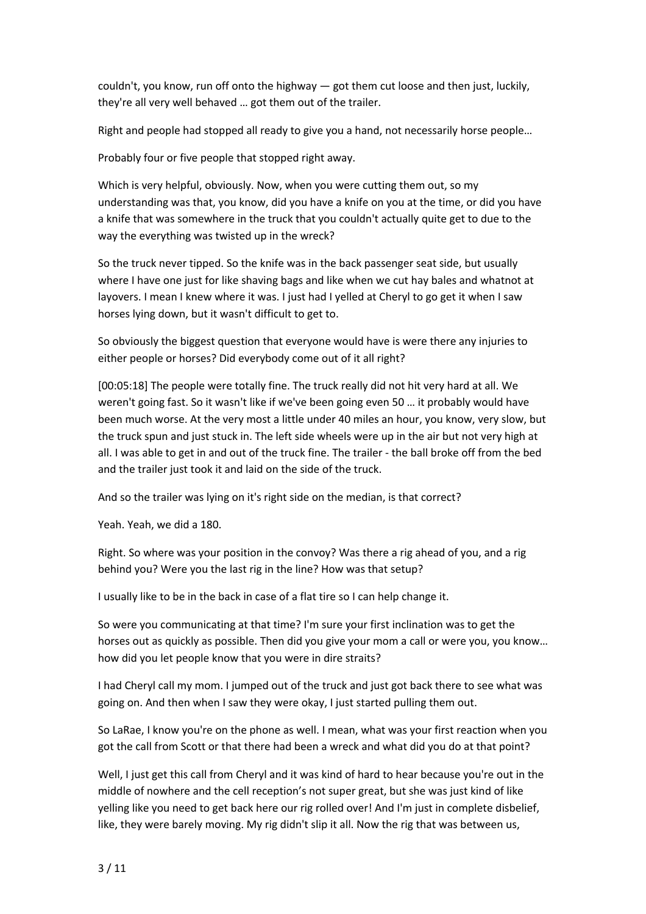couldn't, you know, run off onto the highway — got them cut loose and then just, luckily, they're all very well behaved … got them out of the trailer.

Right and people had stopped all ready to give you a hand, not necessarily horse people…

Probably four or five people that stopped right away.

Which is very helpful, obviously. Now, when you were cutting them out, so my understanding was that, you know, did you have a knife on you at the time, or did you have a knife that was somewhere in the truck that you couldn't actually quite get to due to the way the everything was twisted up in the wreck?

So the truck never tipped. So the knife was in the back passenger seat side, but usually where I have one just for like shaving bags and like when we cut hay bales and whatnot at layovers. I mean I knew where it was. I just had I yelled at Cheryl to go get it when I saw horses lying down, but it wasn't difficult to get to.

So obviously the biggest question that everyone would have is were there any injuries to either people or horses? Did everybody come out of it all right?

[00:05:18] The people were totally fine. The truck really did not hit very hard at all. We weren't going fast. So it wasn't like if we've been going even 50 … it probably would have been much worse. At the very most a little under 40 miles an hour, you know, very slow, but the truck spun and just stuck in. The left side wheels were up in the air but not very high at all. I was able to get in and out of the truck fine. The trailer - the ball broke off from the bed and the trailer just took it and laid on the side of the truck.

And so the trailer was lying on it's right side on the median, is that correct?

Yeah. Yeah, we did a 180.

Right. So where was your position in the convoy? Was there a rig ahead of you, and a rig behind you? Were you the last rig in the line? How was that setup?

I usually like to be in the back in case of a flat tire so I can help change it.

So were you communicating at that time? I'm sure your first inclination was to get the horses out as quickly as possible. Then did you give your mom a call or were you, you know… how did you let people know that you were in dire straits?

I had Cheryl call my mom. I jumped out of the truck and just got back there to see what was going on. And then when I saw they were okay, I just started pulling them out.

So LaRae, I know you're on the phone as well. I mean, what was your first reaction when you got the call from Scott or that there had been a wreck and what did you do at that point?

Well, I just get this call from Cheryl and it was kind of hard to hear because you're out in the middle of nowhere and the cell reception's not super great, but she was just kind of like yelling like you need to get back here our rig rolled over! And I'm just in complete disbelief, like, they were barely moving. My rig didn't slip it all. Now the rig that was between us,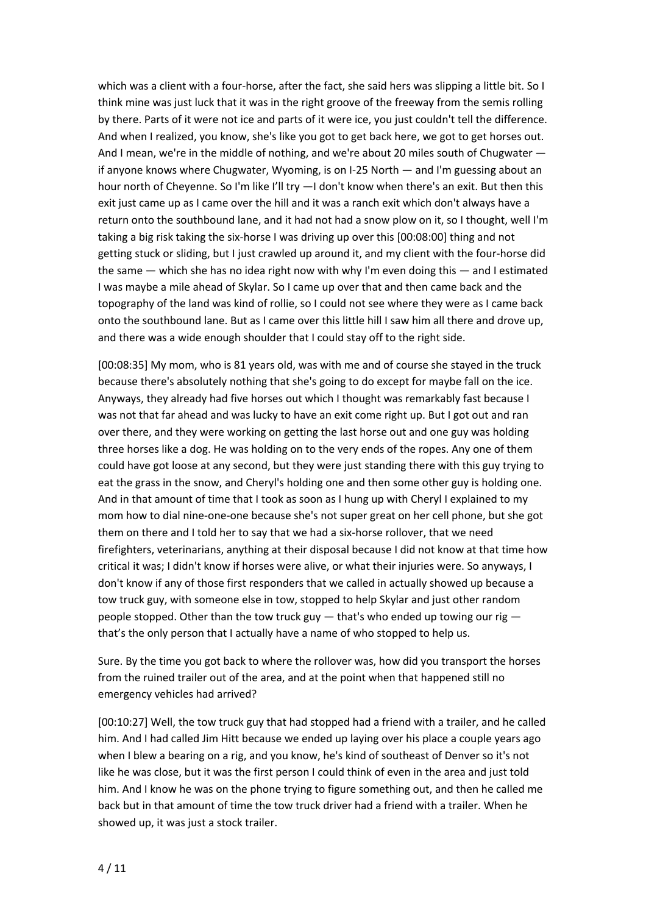which was a client with a four-horse, after the fact, she said hers was slipping a little bit. So I think mine was just luck that it was in the right groove of the freeway from the semis rolling by there. Parts of it were not ice and parts of it were ice, you just couldn't tell the difference. And when I realized, you know, she's like you got to get back here, we got to get horses out. And I mean, we're in the middle of nothing, and we're about 20 miles south of Chugwater if anyone knows where Chugwater, Wyoming, is on I-25 North — and I'm guessing about an hour north of Cheyenne. So I'm like I'll try -- I don't know when there's an exit. But then this exit just came up as I came over the hill and it was a ranch exit which don't always have a return onto the southbound lane, and it had not had a snow plow on it, so I thought, well I'm taking a big risk taking the six-horse I was driving up over this [00:08:00] thing and not getting stuck or sliding, but I just crawled up around it, and my client with the four-horse did the same — which she has no idea right now with why I'm even doing this — and I estimated I was maybe a mile ahead of Skylar. So I came up over that and then came back and the topography of the land was kind of rollie, so I could not see where they were as I came back onto the southbound lane. But as I came over this little hill I saw him all there and drove up, and there was a wide enough shoulder that I could stay off to the right side.

[00:08:35] My mom, who is 81 years old, was with me and of course she stayed in the truck because there's absolutely nothing that she's going to do except for maybe fall on the ice. Anyways, they already had five horses out which I thought was remarkably fast because I was not that far ahead and was lucky to have an exit come right up. But I got out and ran over there, and they were working on getting the last horse out and one guy was holding three horses like a dog. He was holding on to the very ends of the ropes. Any one of them could have got loose at any second, but they were just standing there with this guy trying to eat the grass in the snow, and Cheryl's holding one and then some other guy is holding one. And in that amount of time that I took as soon as I hung up with Cheryl I explained to my mom how to dial nine-one-one because she's not super great on her cell phone, but she got them on there and I told her to say that we had a six-horse rollover, that we need firefighters, veterinarians, anything at their disposal because I did not know at that time how critical it was; I didn't know if horses were alive, or what their injuries were. So anyways, I don't know if any of those first responders that we called in actually showed up because a tow truck guy, with someone else in tow, stopped to help Skylar and just other random people stopped. Other than the tow truck guy  $-$  that's who ended up towing our rig  $$ that's the only person that I actually have a name of who stopped to help us.

Sure. By the time you got back to where the rollover was, how did you transport the horses from the ruined trailer out of the area, and at the point when that happened still no emergency vehicles had arrived?

[00:10:27] Well, the tow truck guy that had stopped had a friend with a trailer, and he called him. And I had called Jim Hitt because we ended up laying over his place a couple years ago when I blew a bearing on a rig, and you know, he's kind of southeast of Denver so it's not like he was close, but it was the first person I could think of even in the area and just told him. And I know he was on the phone trying to figure something out, and then he called me back but in that amount of time the tow truck driver had a friend with a trailer. When he showed up, it was just a stock trailer.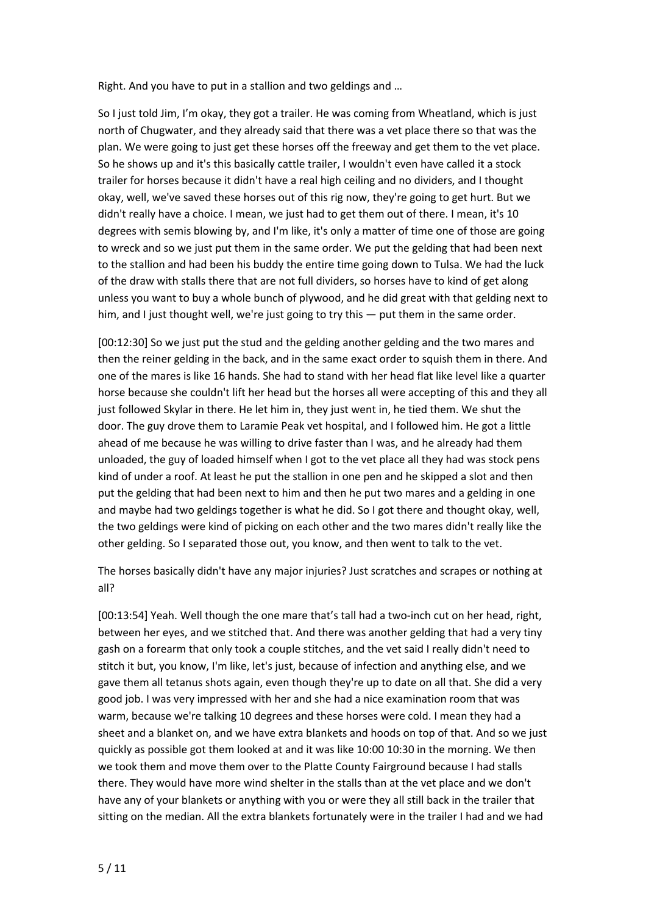Right. And you have to put in a stallion and two geldings and …

So I just told Jim, I'm okay, they got a trailer. He was coming from Wheatland, which is just north of Chugwater, and they already said that there was a vet place there so that was the plan. We were going to just get these horses off the freeway and get them to the vet place. So he shows up and it's this basically cattle trailer, I wouldn't even have called it a stock trailer for horses because it didn't have a real high ceiling and no dividers, and I thought okay, well, we've saved these horses out of this rig now, they're going to get hurt. But we didn't really have a choice. I mean, we just had to get them out of there. I mean, it's 10 degrees with semis blowing by, and I'm like, it's only a matter of time one of those are going to wreck and so we just put them in the same order. We put the gelding that had been next to the stallion and had been his buddy the entire time going down to Tulsa. We had the luck of the draw with stalls there that are not full dividers, so horses have to kind of get along unless you want to buy a whole bunch of plywood, and he did great with that gelding next to him, and I just thought well, we're just going to try this — put them in the same order.

[00:12:30] So we just put the stud and the gelding another gelding and the two mares and then the reiner gelding in the back, and in the same exact order to squish them in there. And one of the mares is like 16 hands. She had to stand with her head flat like level like a quarter horse because she couldn't lift her head but the horses all were accepting of this and they all just followed Skylar in there. He let him in, they just went in, he tied them. We shut the door. The guy drove them to Laramie Peak vet hospital, and I followed him. He got a little ahead of me because he was willing to drive faster than I was, and he already had them unloaded, the guy of loaded himself when I got to the vet place all they had was stock pens kind of under a roof. At least he put the stallion in one pen and he skipped a slot and then put the gelding that had been next to him and then he put two mares and a gelding in one and maybe had two geldings together is what he did. So I got there and thought okay, well, the two geldings were kind of picking on each other and the two mares didn't really like the other gelding. So I separated those out, you know, and then went to talk to the vet.

The horses basically didn't have any major injuries? Just scratches and scrapes or nothing at all?

[00:13:54] Yeah. Well though the one mare that's tall had a two-inch cut on her head, right, between her eyes, and we stitched that. And there was another gelding that had a very tiny gash on a forearm that only took a couple stitches, and the vet said I really didn't need to stitch it but, you know, I'm like, let's just, because of infection and anything else, and we gave them all tetanus shots again, even though they're up to date on all that. She did a very good job. I was very impressed with her and she had a nice examination room that was warm, because we're talking 10 degrees and these horses were cold. I mean they had a sheet and a blanket on, and we have extra blankets and hoods on top of that. And so we just quickly as possible got them looked at and it was like 10:00 10:30 in the morning. We then we took them and move them over to the Platte County Fairground because I had stalls there. They would have more wind shelter in the stalls than at the vet place and we don't have any of your blankets or anything with you or were they all still back in the trailer that sitting on the median. All the extra blankets fortunately were in the trailer I had and we had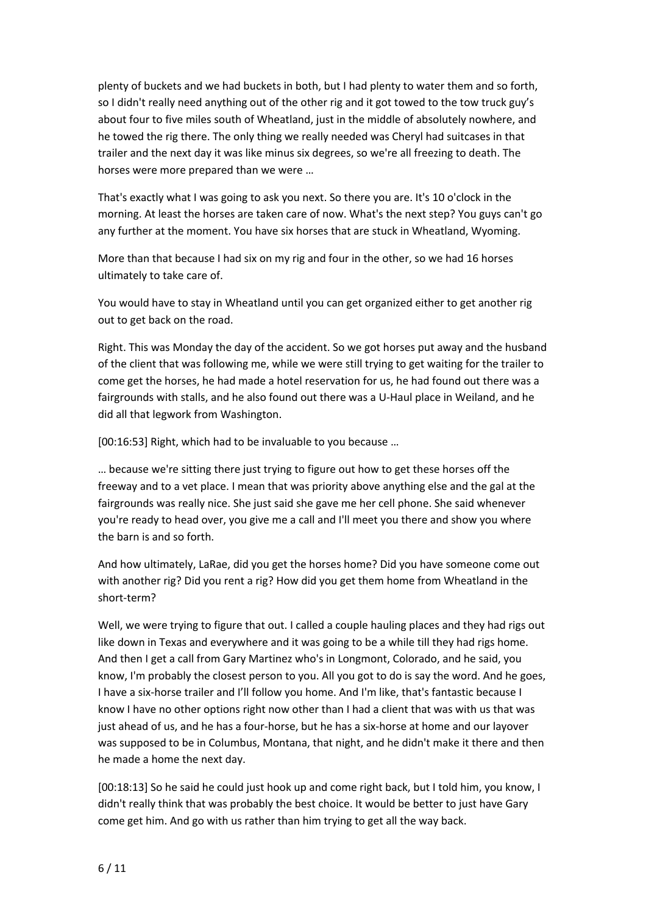plenty of buckets and we had buckets in both, but I had plenty to water them and so forth, so I didn't really need anything out of the other rig and it got towed to the tow truck guy's about four to five miles south of Wheatland, just in the middle of absolutely nowhere, and he towed the rig there. The only thing we really needed was Cheryl had suitcases in that trailer and the next day it was like minus six degrees, so we're all freezing to death. The horses were more prepared than we were …

That's exactly what I was going to ask you next. So there you are. It's 10 o'clock in the morning. At least the horses are taken care of now. What's the next step? You guys can't go any further at the moment. You have six horses that are stuck in Wheatland, Wyoming.

More than that because I had six on my rig and four in the other, so we had 16 horses ultimately to take care of.

You would have to stay in Wheatland until you can get organized either to get another rig out to get back on the road.

Right. This was Monday the day of the accident. So we got horses put away and the husband of the client that was following me, while we were still trying to get waiting for the trailer to come get the horses, he had made a hotel reservation for us, he had found out there was a fairgrounds with stalls, and he also found out there was a U-Haul place in Weiland, and he did all that legwork from Washington.

[00:16:53] Right, which had to be invaluable to you because …

… because we're sitting there just trying to figure out how to get these horses off the freeway and to a vet place. I mean that was priority above anything else and the gal at the fairgrounds was really nice. She just said she gave me her cell phone. She said whenever you're ready to head over, you give me a call and I'll meet you there and show you where the barn is and so forth.

And how ultimately, LaRae, did you get the horses home? Did you have someone come out with another rig? Did you rent a rig? How did you get them home from Wheatland in the short-term?

Well, we were trying to figure that out. I called a couple hauling places and they had rigs out like down in Texas and everywhere and it was going to be a while till they had rigs home. And then I get a call from Gary Martinez who's in Longmont, Colorado, and he said, you know, I'm probably the closest person to you. All you got to do is say the word. And he goes, I have a six-horse trailer and I'll follow you home. And I'm like, that's fantastic because I know I have no other options right now other than I had a client that was with us that was just ahead of us, and he has a four-horse, but he has a six-horse at home and our layover was supposed to be in Columbus, Montana, that night, and he didn't make it there and then he made a home the next day.

[00:18:13] So he said he could just hook up and come right back, but I told him, you know, I didn't really think that was probably the best choice. It would be better to just have Gary come get him. And go with us rather than him trying to get all the way back.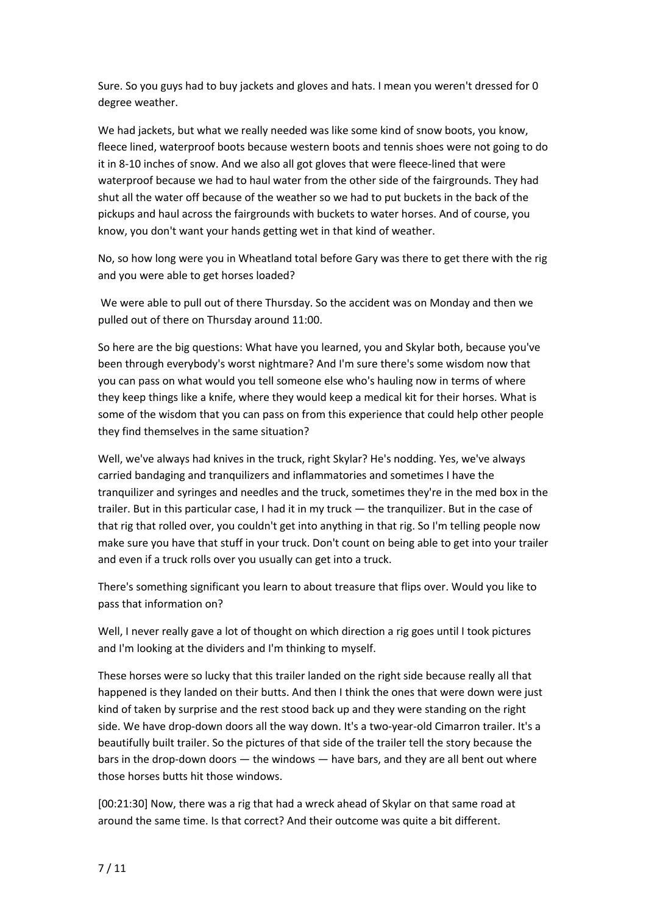Sure. So you guys had to buy jackets and gloves and hats. I mean you weren't dressed for 0 degree weather.

We had jackets, but what we really needed was like some kind of snow boots, you know, fleece lined, waterproof boots because western boots and tennis shoes were not going to do it in 8-10 inches of snow. And we also all got gloves that were fleece-lined that were waterproof because we had to haul water from the other side of the fairgrounds. They had shut all the water off because of the weather so we had to put buckets in the back of the pickups and haul across the fairgrounds with buckets to water horses. And of course, you know, you don't want your hands getting wet in that kind of weather.

No, so how long were you in Wheatland total before Gary was there to get there with the rig and you were able to get horses loaded?

We were able to pull out of there Thursday. So the accident was on Monday and then we pulled out of there on Thursday around 11:00.

So here are the big questions: What have you learned, you and Skylar both, because you've been through everybody's worst nightmare? And I'm sure there's some wisdom now that you can pass on what would you tell someone else who's hauling now in terms of where they keep things like a knife, where they would keep a medical kit for their horses. What is some of the wisdom that you can pass on from this experience that could help other people they find themselves in the same situation?

Well, we've always had knives in the truck, right Skylar? He's nodding. Yes, we've always carried bandaging and tranquilizers and inflammatories and sometimes I have the tranquilizer and syringes and needles and the truck, sometimes they're in the med box in the trailer. But in this particular case, I had it in my truck — the tranquilizer. But in the case of that rig that rolled over, you couldn't get into anything in that rig. So I'm telling people now make sure you have that stuff in your truck. Don't count on being able to get into your trailer and even if a truck rolls over you usually can get into a truck.

There's something significant you learn to about treasure that flips over. Would you like to pass that information on?

Well, I never really gave a lot of thought on which direction a rig goes until I took pictures and I'm looking at the dividers and I'm thinking to myself.

These horses were so lucky that this trailer landed on the right side because really all that happened is they landed on their butts. And then I think the ones that were down were just kind of taken by surprise and the rest stood back up and they were standing on the right side. We have drop-down doors all the way down. It's a two-year-old Cimarron trailer. It's a beautifully built trailer. So the pictures of that side of the trailer tell the story because the bars in the drop-down doors — the windows — have bars, and they are all bent out where those horses butts hit those windows.

[00:21:30] Now, there was a rig that had a wreck ahead of Skylar on that same road at around the same time. Is that correct? And their outcome was quite a bit different.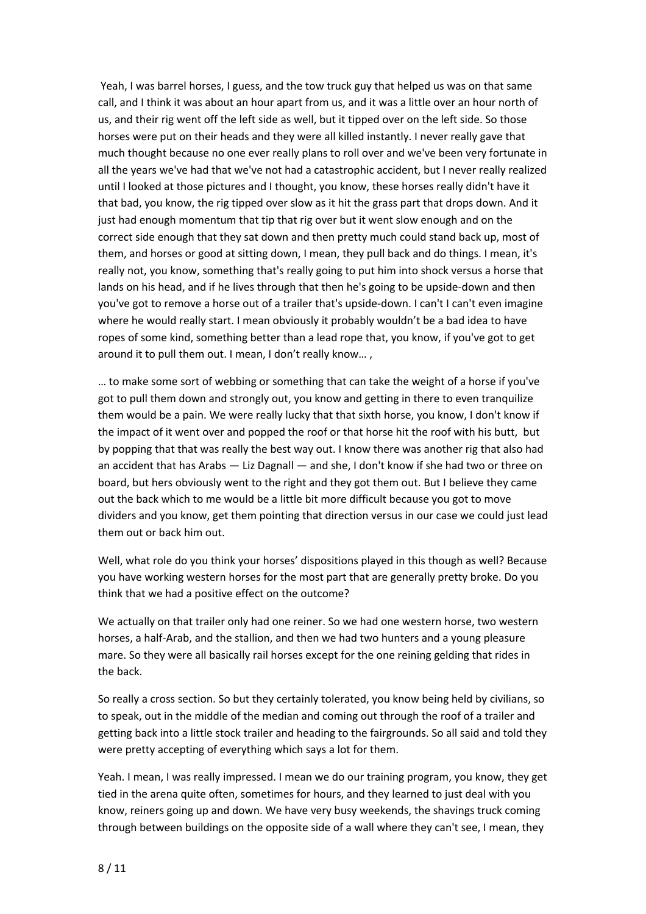Yeah, I was barrel horses, I guess, and the tow truck guy that helped us was on that same call, and I think it was about an hour apart from us, and it was a little over an hour north of us, and their rig went off the left side as well, but it tipped over on the left side. So those horses were put on their heads and they were all killed instantly. I never really gave that much thought because no one ever really plans to roll over and we've been very fortunate in all the years we've had that we've not had a catastrophic accident, but I never really realized until I looked at those pictures and I thought, you know, these horses really didn't have it that bad, you know, the rig tipped over slow as it hit the grass part that drops down. And it just had enough momentum that tip that rig over but it went slow enough and on the correct side enough that they sat down and then pretty much could stand back up, most of them, and horses or good at sitting down, I mean, they pull back and do things. I mean, it's really not, you know, something that's really going to put him into shock versus a horse that lands on his head, and if he lives through that then he's going to be upside-down and then you've got to remove a horse out of a trailer that's upside-down. I can't I can't even imagine where he would really start. I mean obviously it probably wouldn't be a bad idea to have ropes of some kind, something better than a lead rope that, you know, if you've got to get around it to pull them out. I mean, I don't really know… ,

… to make some sort of webbing or something that can take the weight of a horse if you've got to pull them down and strongly out, you know and getting in there to even tranquilize them would be a pain. We were really lucky that that sixth horse, you know, I don't know if the impact of it went over and popped the roof or that horse hit the roof with his butt, but by popping that that was really the best way out. I know there was another rig that also had an accident that has Arabs — Liz Dagnall — and she, I don't know if she had two or three on board, but hers obviously went to the right and they got them out. But I believe they came out the back which to me would be a little bit more difficult because you got to move dividers and you know, get them pointing that direction versus in our case we could just lead them out or back him out.

Well, what role do you think your horses' dispositions played in this though as well? Because you have working western horses for the most part that are generally pretty broke. Do you think that we had a positive effect on the outcome?

We actually on that trailer only had one reiner. So we had one western horse, two western horses, a half-Arab, and the stallion, and then we had two hunters and a young pleasure mare. So they were all basically rail horses except for the one reining gelding that rides in the back.

So really a cross section. So but they certainly tolerated, you know being held by civilians, so to speak, out in the middle of the median and coming out through the roof of a trailer and getting back into a little stock trailer and heading to the fairgrounds. So all said and told they were pretty accepting of everything which says a lot for them.

Yeah. I mean, I was really impressed. I mean we do our training program, you know, they get tied in the arena quite often, sometimes for hours, and they learned to just deal with you know, reiners going up and down. We have very busy weekends, the shavings truck coming through between buildings on the opposite side of a wall where they can't see, I mean, they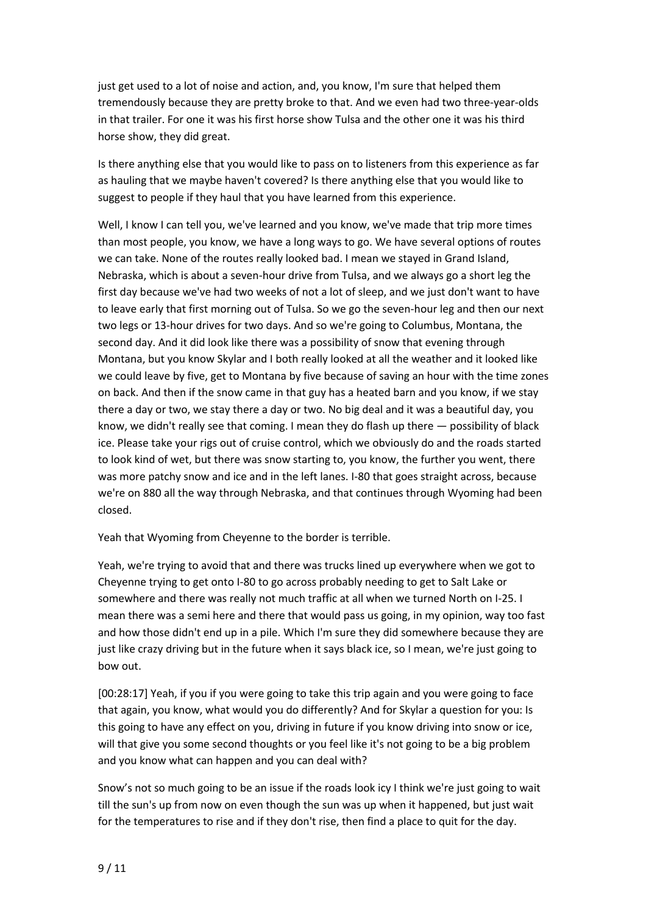just get used to a lot of noise and action, and, you know, I'm sure that helped them tremendously because they are pretty broke to that. And we even had two three-year-olds in that trailer. For one it was his first horse show Tulsa and the other one it was his third horse show, they did great.

Is there anything else that you would like to pass on to listeners from this experience as far as hauling that we maybe haven't covered? Is there anything else that you would like to suggest to people if they haul that you have learned from this experience.

Well, I know I can tell you, we've learned and you know, we've made that trip more times than most people, you know, we have a long ways to go. We have several options of routes we can take. None of the routes really looked bad. I mean we stayed in Grand Island, Nebraska, which is about a seven-hour drive from Tulsa, and we always go a short leg the first day because we've had two weeks of not a lot of sleep, and we just don't want to have to leave early that first morning out of Tulsa. So we go the seven-hour leg and then our next two legs or 13-hour drives for two days. And so we're going to Columbus, Montana, the second day. And it did look like there was a possibility of snow that evening through Montana, but you know Skylar and I both really looked at all the weather and it looked like we could leave by five, get to Montana by five because of saving an hour with the time zones on back. And then if the snow came in that guy has a heated barn and you know, if we stay there a day or two, we stay there a day or two. No big deal and it was a beautiful day, you know, we didn't really see that coming. I mean they do flash up there — possibility of black ice. Please take your rigs out of cruise control, which we obviously do and the roads started to look kind of wet, but there was snow starting to, you know, the further you went, there was more patchy snow and ice and in the left lanes. I-80 that goes straight across, because we're on 880 all the way through Nebraska, and that continues through Wyoming had been closed.

Yeah that Wyoming from Cheyenne to the border is terrible.

Yeah, we're trying to avoid that and there was trucks lined up everywhere when we got to Cheyenne trying to get onto I-80 to go across probably needing to get to Salt Lake or somewhere and there was really not much traffic at all when we turned North on I-25. I mean there was a semi here and there that would pass us going, in my opinion, way too fast and how those didn't end up in a pile. Which I'm sure they did somewhere because they are just like crazy driving but in the future when it says black ice, so I mean, we're just going to bow out.

[00:28:17] Yeah, if you if you were going to take this trip again and you were going to face that again, you know, what would you do differently? And for Skylar a question for you: Is this going to have any effect on you, driving in future if you know driving into snow or ice, will that give you some second thoughts or you feel like it's not going to be a big problem and you know what can happen and you can deal with?

Snow's not so much going to be an issue if the roads look icy I think we're just going to wait till the sun's up from now on even though the sun was up when it happened, but just wait for the temperatures to rise and if they don't rise, then find a place to quit for the day.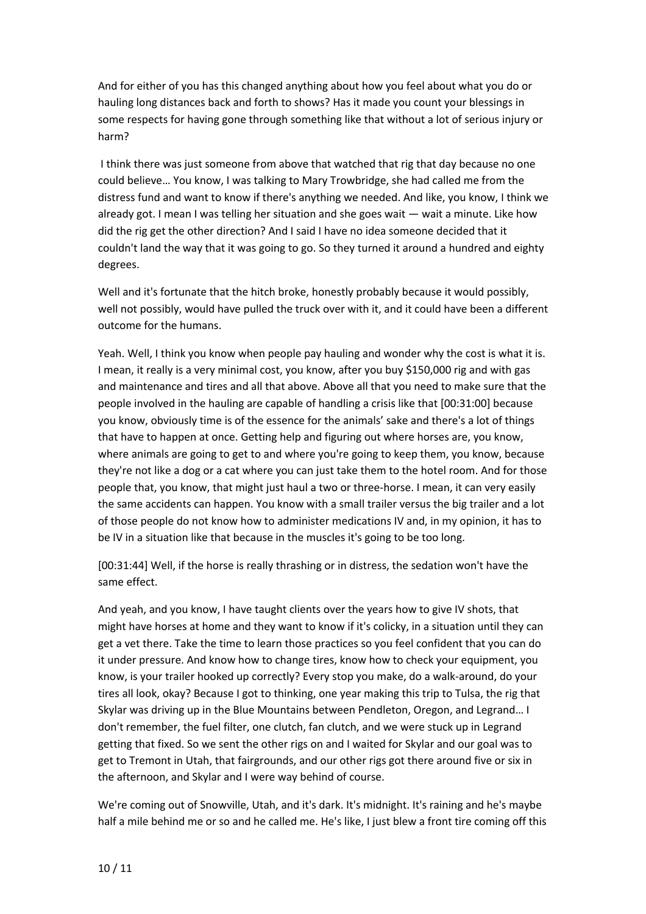And for either of you has this changed anything about how you feel about what you do or hauling long distances back and forth to shows? Has it made you count your blessings in some respects for having gone through something like that without a lot of serious injury or harm?

I think there was just someone from above that watched that rig that day because no one could believe… You know, I was talking to Mary Trowbridge, she had called me from the distress fund and want to know if there's anything we needed. And like, you know, I think we already got. I mean I was telling her situation and she goes wait — wait a minute. Like how did the rig get the other direction? And I said I have no idea someone decided that it couldn't land the way that it was going to go. So they turned it around a hundred and eighty degrees.

Well and it's fortunate that the hitch broke, honestly probably because it would possibly, well not possibly, would have pulled the truck over with it, and it could have been a different outcome for the humans.

Yeah. Well, I think you know when people pay hauling and wonder why the cost is what it is. I mean, it really is a very minimal cost, you know, after you buy \$150,000 rig and with gas and maintenance and tires and all that above. Above all that you need to make sure that the people involved in the hauling are capable of handling a crisis like that [00:31:00] because you know, obviously time is of the essence for the animals' sake and there's a lot of things that have to happen at once. Getting help and figuring out where horses are, you know, where animals are going to get to and where you're going to keep them, you know, because they're not like a dog or a cat where you can just take them to the hotel room. And for those people that, you know, that might just haul a two or three-horse. I mean, it can very easily the same accidents can happen. You know with a small trailer versus the big trailer and a lot of those people do not know how to administer medications IV and, in my opinion, it has to be IV in a situation like that because in the muscles it's going to be too long.

[00:31:44] Well, if the horse is really thrashing or in distress, the sedation won't have the same effect.

And yeah, and you know, I have taught clients over the years how to give IV shots, that might have horses at home and they want to know if it's colicky, in a situation until they can get a vet there. Take the time to learn those practices so you feel confident that you can do it under pressure. And know how to change tires, know how to check your equipment, you know, is your trailer hooked up correctly? Every stop you make, do a walk-around, do your tires all look, okay? Because I got to thinking, one year making this trip to Tulsa, the rig that Skylar was driving up in the Blue Mountains between Pendleton, Oregon, and Legrand… I don't remember, the fuel filter, one clutch, fan clutch, and we were stuck up in Legrand getting that fixed. So we sent the other rigs on and I waited for Skylar and our goal was to get to Tremont in Utah, that fairgrounds, and our other rigs got there around five or six in the afternoon, and Skylar and I were way behind of course.

We're coming out of Snowville, Utah, and it's dark. It's midnight. It's raining and he's maybe half a mile behind me or so and he called me. He's like, I just blew a front tire coming off this